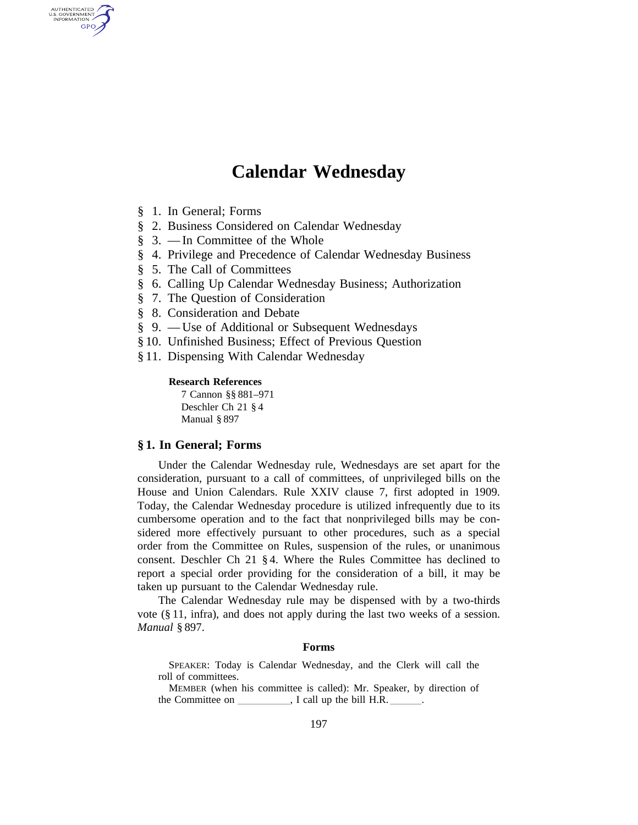# **Calendar Wednesday**

§ 1. In General; Forms

AUTHENTICATED<br>U.S. GOVERNMENT<br>INFORMATION GPO

- § 2. Business Considered on Calendar Wednesday
- § 3. —In Committee of the Whole
- § 4. Privilege and Precedence of Calendar Wednesday Business
- § 5. The Call of Committees
- § 6. Calling Up Calendar Wednesday Business; Authorization
- § 7. The Question of Consideration
- § 8. Consideration and Debate
- § 9. Use of Additional or Subsequent Wednesdays
- § 10. Unfinished Business; Effect of Previous Question
- § 11. Dispensing With Calendar Wednesday

#### **Research References**

7 Cannon §§ 881–971 Deschler Ch 21 § 4 Manual § 897

#### **§ 1. In General; Forms**

Under the Calendar Wednesday rule, Wednesdays are set apart for the consideration, pursuant to a call of committees, of unprivileged bills on the House and Union Calendars. Rule XXIV clause 7, first adopted in 1909. Today, the Calendar Wednesday procedure is utilized infrequently due to its cumbersome operation and to the fact that nonprivileged bills may be considered more effectively pursuant to other procedures, such as a special order from the Committee on Rules, suspension of the rules, or unanimous consent. Deschler Ch 21 § 4. Where the Rules Committee has declined to report a special order providing for the consideration of a bill, it may be taken up pursuant to the Calendar Wednesday rule.

The Calendar Wednesday rule may be dispensed with by a two-thirds vote (§ 11, infra), and does not apply during the last two weeks of a session. *Manual* § 897.

# **Forms**

SPEAKER: Today is Calendar Wednesday, and the Clerk will call the roll of committees.

MEMBER (when his committee is called): Mr. Speaker, by direction of the Committee on lllll, I call up the bill H.R. lll.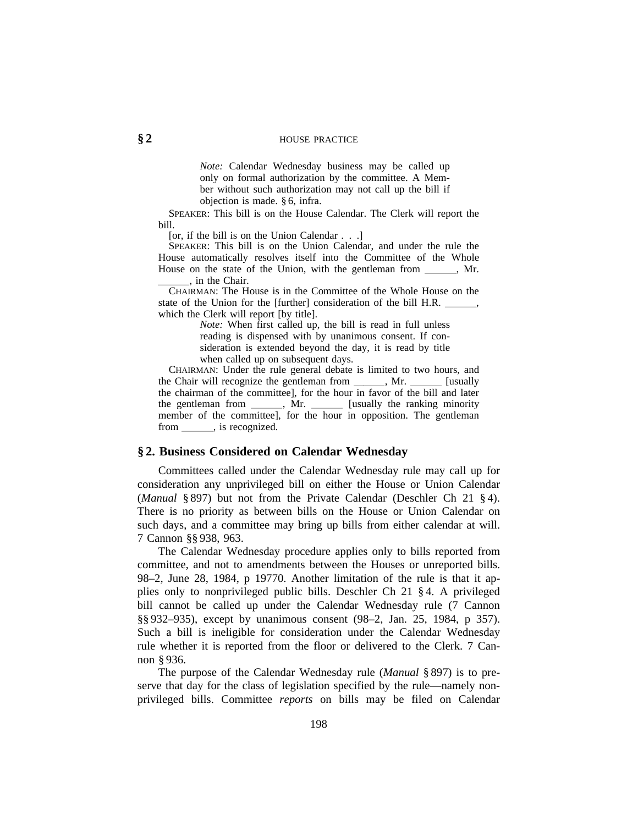#### **§ 2** HOUSE PRACTICE

*Note:* Calendar Wednesday business may be called up only on formal authorization by the committee. A Member without such authorization may not call up the bill if objection is made. § 6, infra.

SPEAKER: This bill is on the House Calendar. The Clerk will report the bill.

[or, if the bill is on the Union Calendar . . .]

SPEAKER: This bill is on the Union Calendar, and under the rule the House automatically resolves itself into the Committee of the Whole House on the state of the Union, with the gentleman from \_\_\_\_\_, Mr. , in the Chair.

CHAIRMAN: The House is in the Committee of the Whole House on the state of the Union for the [further] consideration of the bill H.R. \_\_\_\_\_\_, which the Clerk will report [by title].

> *Note:* When first called up, the bill is read in full unless reading is dispensed with by unanimous consent. If consideration is extended beyond the day, it is read by title when called up on subsequent days.

CHAIRMAN: Under the rule general debate is limited to two hours, and the Chair will recognize the gentleman from \_\_\_\_\_, Mr. \_\_\_\_\_\_ [usually the chairman of the committee], for the hour in favor of the bill and later the gentleman from \_\_\_\_\_\_, Mr. \_\_\_\_\_\_ [usually the ranking minority member of the committee], for the hour in opposition. The gentleman from \_\_\_\_\_\_\_, is recognized.

#### **§ 2. Business Considered on Calendar Wednesday**

Committees called under the Calendar Wednesday rule may call up for consideration any unprivileged bill on either the House or Union Calendar (*Manual* § 897) but not from the Private Calendar (Deschler Ch 21 § 4). There is no priority as between bills on the House or Union Calendar on such days, and a committee may bring up bills from either calendar at will. 7 Cannon §§ 938, 963.

The Calendar Wednesday procedure applies only to bills reported from committee, and not to amendments between the Houses or unreported bills. 98–2, June 28, 1984, p 19770. Another limitation of the rule is that it applies only to nonprivileged public bills. Deschler Ch 21 § 4. A privileged bill cannot be called up under the Calendar Wednesday rule (7 Cannon §§ 932–935), except by unanimous consent (98–2, Jan. 25, 1984, p 357). Such a bill is ineligible for consideration under the Calendar Wednesday rule whether it is reported from the floor or delivered to the Clerk. 7 Cannon § 936.

The purpose of the Calendar Wednesday rule (*Manual* § 897) is to preserve that day for the class of legislation specified by the rule—namely nonprivileged bills. Committee *reports* on bills may be filed on Calendar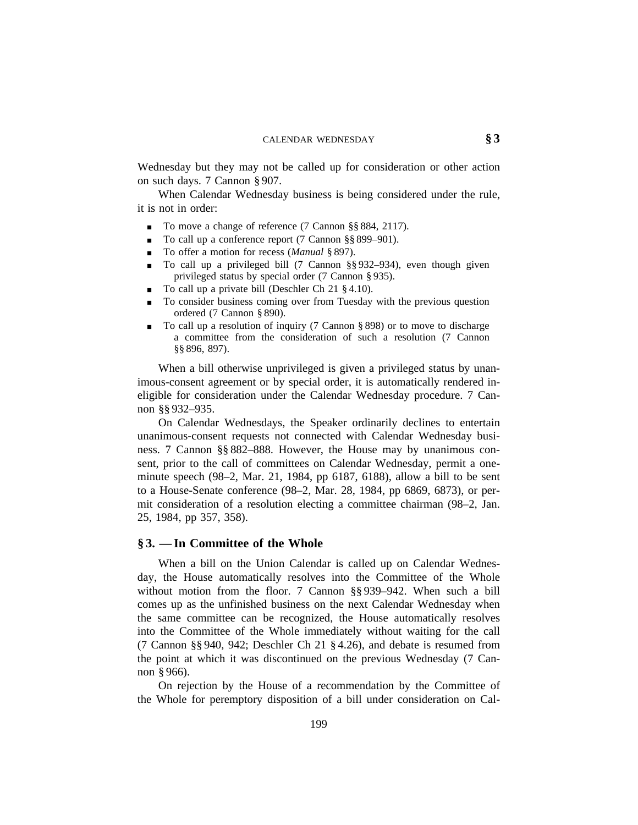Wednesday but they may not be called up for consideration or other action on such days. 7 Cannon § 907.

When Calendar Wednesday business is being considered under the rule, it is not in order:

- To move a change of reference (7 Cannon §§ 884, 2117).
- To call up a conference report (7 Cannon  $\S$ § 899–901).
- To offer a motion for recess (*Manual* § 897).
- To call up a privileged bill (7 Cannon §§ 932–934), even though given privileged status by special order (7 Cannon § 935).
- $\blacksquare$  To call up a private bill (Deschler Ch 21 § 4.10).
- <sup>0</sup> To consider business coming over from Tuesday with the previous question ordered (7 Cannon § 890).
- <sup>0</sup> To call up a resolution of inquiry (7 Cannon § 898) or to move to discharge a committee from the consideration of such a resolution (7 Cannon §§ 896, 897).

When a bill otherwise unprivileged is given a privileged status by unanimous-consent agreement or by special order, it is automatically rendered ineligible for consideration under the Calendar Wednesday procedure. 7 Cannon §§ 932–935.

On Calendar Wednesdays, the Speaker ordinarily declines to entertain unanimous-consent requests not connected with Calendar Wednesday business. 7 Cannon §§ 882–888. However, the House may by unanimous consent, prior to the call of committees on Calendar Wednesday, permit a oneminute speech (98–2, Mar. 21, 1984, pp 6187, 6188), allow a bill to be sent to a House-Senate conference (98–2, Mar. 28, 1984, pp 6869, 6873), or permit consideration of a resolution electing a committee chairman (98–2, Jan. 25, 1984, pp 357, 358).

#### **§ 3. —In Committee of the Whole**

When a bill on the Union Calendar is called up on Calendar Wednesday, the House automatically resolves into the Committee of the Whole without motion from the floor. 7 Cannon §§ 939–942. When such a bill comes up as the unfinished business on the next Calendar Wednesday when the same committee can be recognized, the House automatically resolves into the Committee of the Whole immediately without waiting for the call (7 Cannon §§ 940, 942; Deschler Ch 21 § 4.26), and debate is resumed from the point at which it was discontinued on the previous Wednesday (7 Cannon § 966).

On rejection by the House of a recommendation by the Committee of the Whole for peremptory disposition of a bill under consideration on Cal-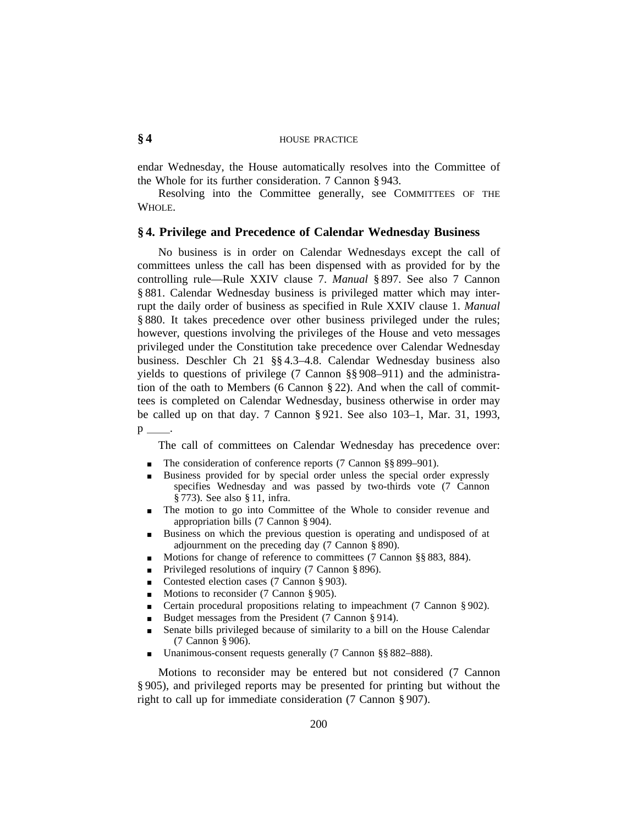# **§ 4** HOUSE PRACTICE

endar Wednesday, the House automatically resolves into the Committee of the Whole for its further consideration. 7 Cannon § 943.

Resolving into the Committee generally, see COMMITTEES OF THE WHOLE.

#### **§ 4. Privilege and Precedence of Calendar Wednesday Business**

No business is in order on Calendar Wednesdays except the call of committees unless the call has been dispensed with as provided for by the controlling rule—Rule XXIV clause 7. *Manual* § 897. See also 7 Cannon § 881. Calendar Wednesday business is privileged matter which may interrupt the daily order of business as specified in Rule XXIV clause 1. *Manual* § 880. It takes precedence over other business privileged under the rules; however, questions involving the privileges of the House and veto messages privileged under the Constitution take precedence over Calendar Wednesday business. Deschler Ch 21 §§ 4.3–4.8. Calendar Wednesday business also yields to questions of privilege (7 Cannon §§ 908–911) and the administration of the oath to Members (6 Cannon § 22). And when the call of committees is completed on Calendar Wednesday, business otherwise in order may be called up on that day. 7 Cannon § 921. See also 103–1, Mar. 31, 1993,

 $p_{\perp}$ 

The call of committees on Calendar Wednesday has precedence over:

- The consideration of conference reports (7 Cannon §§ 899–901).
- Business provided for by special order unless the special order expressly specifies Wednesday and was passed by two-thirds vote (7 Cannon § 773). See also § 11, infra.
- The motion to go into Committee of the Whole to consider revenue and appropriation bills (7 Cannon § 904).
- <sup>0</sup> Business on which the previous question is operating and undisposed of at adjournment on the preceding day (7 Cannon § 890).
- Motions for change of reference to committees (7 Cannon §§ 883, 884).
- **Privileged resolutions of inquiry (7 Cannon § 896).**
- **Contested election cases (7 Cannon § 903).**
- Motions to reconsider (7 Cannon § 905).
- **Certain procedural propositions relating to impeachment (7 Cannon § 902).**
- Budget messages from the President (7 Cannon § 914).
- Senate bills privileged because of similarity to a bill on the House Calendar (7 Cannon § 906).
- Unanimous-consent requests generally (7 Cannon §§ 882–888).

Motions to reconsider may be entered but not considered (7 Cannon § 905), and privileged reports may be presented for printing but without the right to call up for immediate consideration (7 Cannon § 907).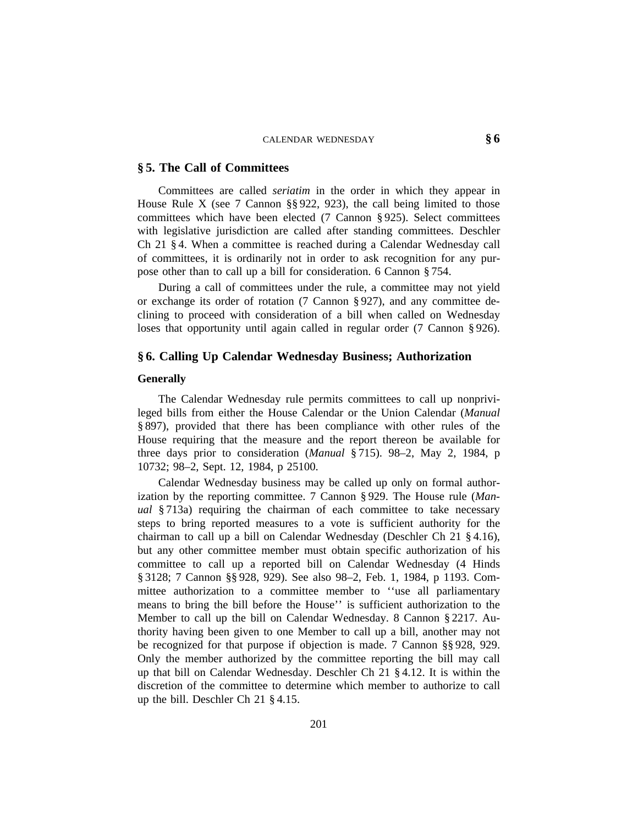#### **§ 5. The Call of Committees**

Committees are called *seriatim* in the order in which they appear in House Rule X (see 7 Cannon §§ 922, 923), the call being limited to those committees which have been elected (7 Cannon § 925). Select committees with legislative jurisdiction are called after standing committees. Deschler Ch 21 § 4. When a committee is reached during a Calendar Wednesday call of committees, it is ordinarily not in order to ask recognition for any purpose other than to call up a bill for consideration. 6 Cannon § 754.

During a call of committees under the rule, a committee may not yield or exchange its order of rotation (7 Cannon § 927), and any committee declining to proceed with consideration of a bill when called on Wednesday loses that opportunity until again called in regular order (7 Cannon § 926).

# **§ 6. Calling Up Calendar Wednesday Business; Authorization**

#### **Generally**

The Calendar Wednesday rule permits committees to call up nonprivileged bills from either the House Calendar or the Union Calendar (*Manual* § 897), provided that there has been compliance with other rules of the House requiring that the measure and the report thereon be available for three days prior to consideration (*Manual* § 715). 98–2, May 2, 1984, p 10732; 98–2, Sept. 12, 1984, p 25100.

Calendar Wednesday business may be called up only on formal authorization by the reporting committee. 7 Cannon § 929. The House rule (*Manual* § 713a) requiring the chairman of each committee to take necessary steps to bring reported measures to a vote is sufficient authority for the chairman to call up a bill on Calendar Wednesday (Deschler Ch 21 § 4.16), but any other committee member must obtain specific authorization of his committee to call up a reported bill on Calendar Wednesday (4 Hinds § 3128; 7 Cannon §§ 928, 929). See also 98–2, Feb. 1, 1984, p 1193. Committee authorization to a committee member to ''use all parliamentary means to bring the bill before the House'' is sufficient authorization to the Member to call up the bill on Calendar Wednesday. 8 Cannon § 2217. Authority having been given to one Member to call up a bill, another may not be recognized for that purpose if objection is made. 7 Cannon §§ 928, 929. Only the member authorized by the committee reporting the bill may call up that bill on Calendar Wednesday. Deschler Ch 21 § 4.12. It is within the discretion of the committee to determine which member to authorize to call up the bill. Deschler Ch 21 § 4.15.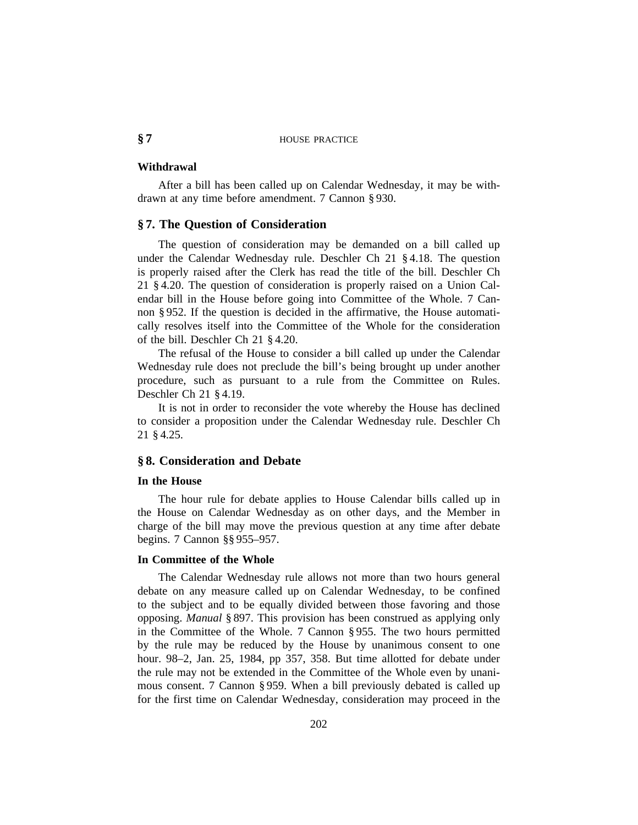# **§ 7** HOUSE PRACTICE

#### **Withdrawal**

After a bill has been called up on Calendar Wednesday, it may be withdrawn at any time before amendment. 7 Cannon § 930.

#### **§ 7. The Question of Consideration**

The question of consideration may be demanded on a bill called up under the Calendar Wednesday rule. Deschler Ch 21 § 4.18. The question is properly raised after the Clerk has read the title of the bill. Deschler Ch 21 § 4.20. The question of consideration is properly raised on a Union Calendar bill in the House before going into Committee of the Whole. 7 Cannon § 952. If the question is decided in the affirmative, the House automatically resolves itself into the Committee of the Whole for the consideration of the bill. Deschler Ch 21 § 4.20.

The refusal of the House to consider a bill called up under the Calendar Wednesday rule does not preclude the bill's being brought up under another procedure, such as pursuant to a rule from the Committee on Rules. Deschler Ch 21 § 4.19.

It is not in order to reconsider the vote whereby the House has declined to consider a proposition under the Calendar Wednesday rule. Deschler Ch 21 § 4.25.

### **§ 8. Consideration and Debate**

#### **In the House**

The hour rule for debate applies to House Calendar bills called up in the House on Calendar Wednesday as on other days, and the Member in charge of the bill may move the previous question at any time after debate begins. 7 Cannon §§ 955–957.

#### **In Committee of the Whole**

The Calendar Wednesday rule allows not more than two hours general debate on any measure called up on Calendar Wednesday, to be confined to the subject and to be equally divided between those favoring and those opposing. *Manual* § 897. This provision has been construed as applying only in the Committee of the Whole. 7 Cannon § 955. The two hours permitted by the rule may be reduced by the House by unanimous consent to one hour. 98–2, Jan. 25, 1984, pp 357, 358. But time allotted for debate under the rule may not be extended in the Committee of the Whole even by unanimous consent. 7 Cannon § 959. When a bill previously debated is called up for the first time on Calendar Wednesday, consideration may proceed in the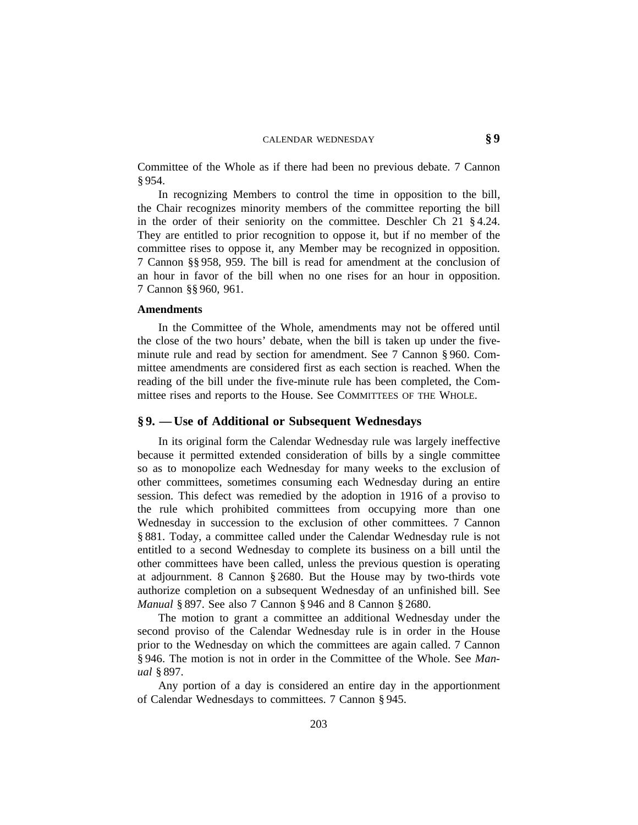#### CALENDAR WEDNESDAY **§ 9**

Committee of the Whole as if there had been no previous debate. 7 Cannon § 954.

In recognizing Members to control the time in opposition to the bill, the Chair recognizes minority members of the committee reporting the bill in the order of their seniority on the committee. Deschler Ch 21 § 4.24. They are entitled to prior recognition to oppose it, but if no member of the committee rises to oppose it, any Member may be recognized in opposition. 7 Cannon §§ 958, 959. The bill is read for amendment at the conclusion of an hour in favor of the bill when no one rises for an hour in opposition. 7 Cannon §§ 960, 961.

#### **Amendments**

In the Committee of the Whole, amendments may not be offered until the close of the two hours' debate, when the bill is taken up under the fiveminute rule and read by section for amendment. See 7 Cannon § 960. Committee amendments are considered first as each section is reached. When the reading of the bill under the five-minute rule has been completed, the Committee rises and reports to the House. See COMMITTEES OF THE WHOLE.

#### **§ 9. —Use of Additional or Subsequent Wednesdays**

In its original form the Calendar Wednesday rule was largely ineffective because it permitted extended consideration of bills by a single committee so as to monopolize each Wednesday for many weeks to the exclusion of other committees, sometimes consuming each Wednesday during an entire session. This defect was remedied by the adoption in 1916 of a proviso to the rule which prohibited committees from occupying more than one Wednesday in succession to the exclusion of other committees. 7 Cannon § 881. Today, a committee called under the Calendar Wednesday rule is not entitled to a second Wednesday to complete its business on a bill until the other committees have been called, unless the previous question is operating at adjournment. 8 Cannon § 2680. But the House may by two-thirds vote authorize completion on a subsequent Wednesday of an unfinished bill. See *Manual* § 897. See also 7 Cannon § 946 and 8 Cannon § 2680.

The motion to grant a committee an additional Wednesday under the second proviso of the Calendar Wednesday rule is in order in the House prior to the Wednesday on which the committees are again called. 7 Cannon § 946. The motion is not in order in the Committee of the Whole. See *Manual* § 897.

Any portion of a day is considered an entire day in the apportionment of Calendar Wednesdays to committees. 7 Cannon § 945.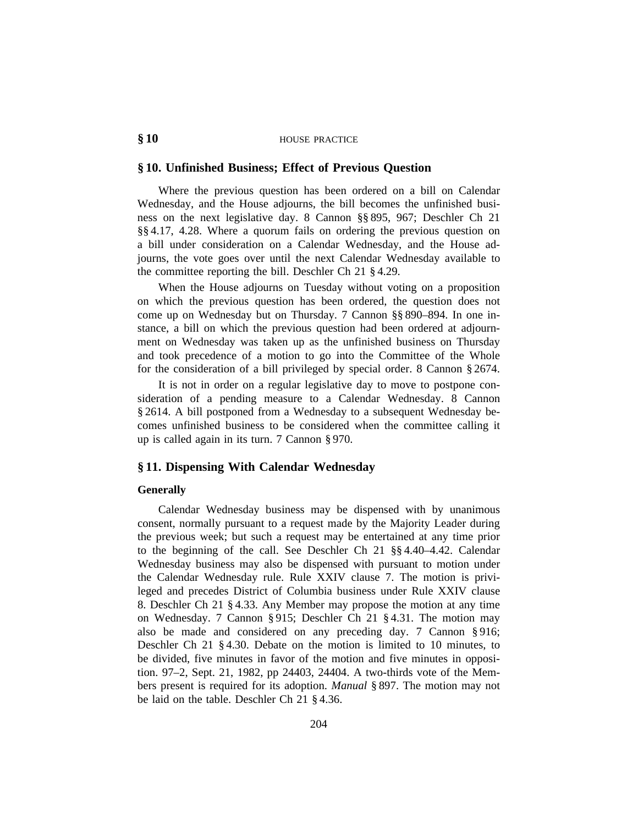# **§ 10** HOUSE PRACTICE

# **§ 10. Unfinished Business; Effect of Previous Question**

Where the previous question has been ordered on a bill on Calendar Wednesday, and the House adjourns, the bill becomes the unfinished business on the next legislative day. 8 Cannon §§ 895, 967; Deschler Ch 21 §§ 4.17, 4.28. Where a quorum fails on ordering the previous question on a bill under consideration on a Calendar Wednesday, and the House adjourns, the vote goes over until the next Calendar Wednesday available to the committee reporting the bill. Deschler Ch 21 § 4.29.

When the House adjourns on Tuesday without voting on a proposition on which the previous question has been ordered, the question does not come up on Wednesday but on Thursday. 7 Cannon §§ 890–894. In one instance, a bill on which the previous question had been ordered at adjournment on Wednesday was taken up as the unfinished business on Thursday and took precedence of a motion to go into the Committee of the Whole for the consideration of a bill privileged by special order. 8 Cannon § 2674.

It is not in order on a regular legislative day to move to postpone consideration of a pending measure to a Calendar Wednesday. 8 Cannon § 2614. A bill postponed from a Wednesday to a subsequent Wednesday becomes unfinished business to be considered when the committee calling it up is called again in its turn. 7 Cannon § 970.

# **§ 11. Dispensing With Calendar Wednesday**

#### **Generally**

Calendar Wednesday business may be dispensed with by unanimous consent, normally pursuant to a request made by the Majority Leader during the previous week; but such a request may be entertained at any time prior to the beginning of the call. See Deschler Ch 21 §§ 4.40–4.42. Calendar Wednesday business may also be dispensed with pursuant to motion under the Calendar Wednesday rule. Rule XXIV clause 7. The motion is privileged and precedes District of Columbia business under Rule XXIV clause 8. Deschler Ch 21 § 4.33. Any Member may propose the motion at any time on Wednesday. 7 Cannon § 915; Deschler Ch 21 § 4.31. The motion may also be made and considered on any preceding day. 7 Cannon § 916; Deschler Ch 21 § 4.30. Debate on the motion is limited to 10 minutes, to be divided, five minutes in favor of the motion and five minutes in opposition. 97–2, Sept. 21, 1982, pp 24403, 24404. A two-thirds vote of the Members present is required for its adoption. *Manual* § 897. The motion may not be laid on the table. Deschler Ch 21 § 4.36.